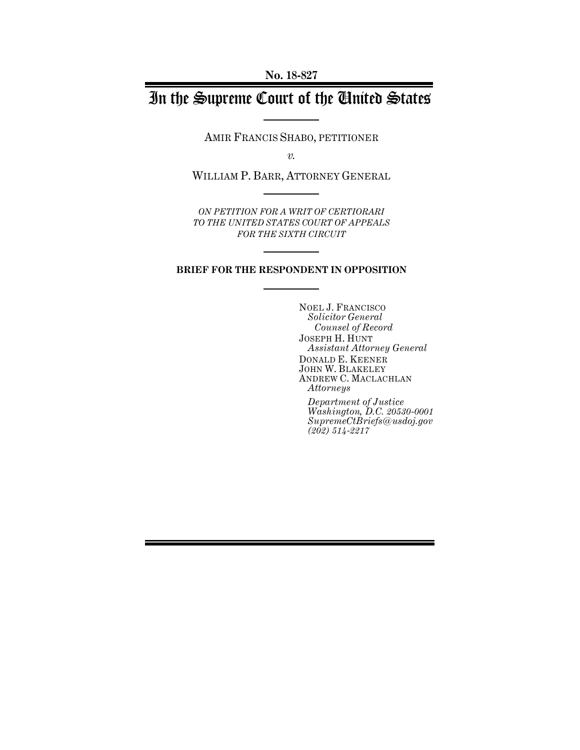# In the Supreme Court of the United States

AMIR FRANCIS SHABO, PETITIONER

*v.*

WILLIAM P. BARR, ATTORNEY GENERAL

*ON PETITION FOR A WRIT OF CERTIORARI TO THE UNITED STATES COURT OF APPEALS FOR THE SIXTH CIRCUIT* 

### **BRIEF FOR THE RESPONDENT IN OPPOSITION**

NOEL J. FRANCISCO *Solicitor General Counsel of Record* JOSEPH H. HUNT *Assistant Attorney General* DONALD E. KEENER JOHN W. BLAKELEY ANDREW C. MACLACHLAN *Attorneys*

*Department of Justice Washington, D.C. 20530-0001 SupremeCtBriefs@usdoj.gov (202) 514-2217*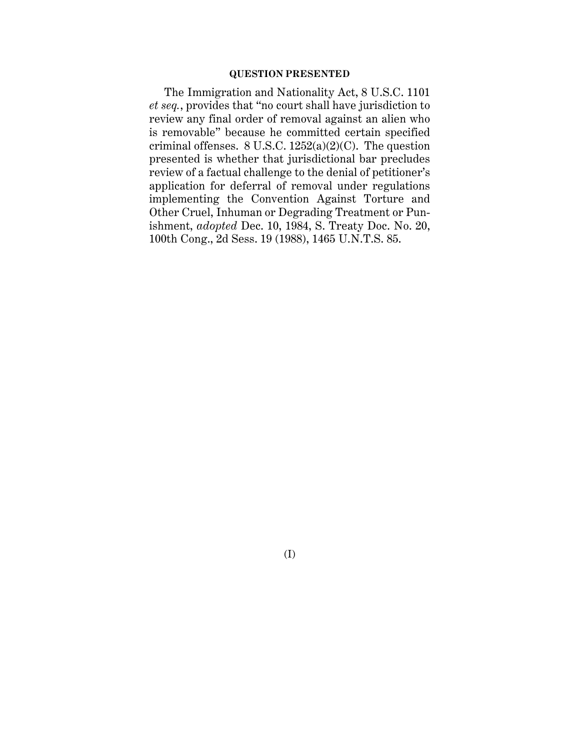# **QUESTION PRESENTED**

The Immigration and Nationality Act, 8 U.S.C. 1101 *et seq.*, provides that "no court shall have jurisdiction to review any final order of removal against an alien who is removable" because he committed certain specified criminal offenses.  $8 \text{ U.S.C. } 1252(a)(2)(\text{C})$ . The question presented is whether that jurisdictional bar precludes review of a factual challenge to the denial of petitioner's application for deferral of removal under regulations implementing the Convention Against Torture and Other Cruel, Inhuman or Degrading Treatment or Punishment, *adopted* Dec. 10, 1984, S. Treaty Doc. No. 20, 100th Cong., 2d Sess. 19 (1988), 1465 U.N.T.S. 85.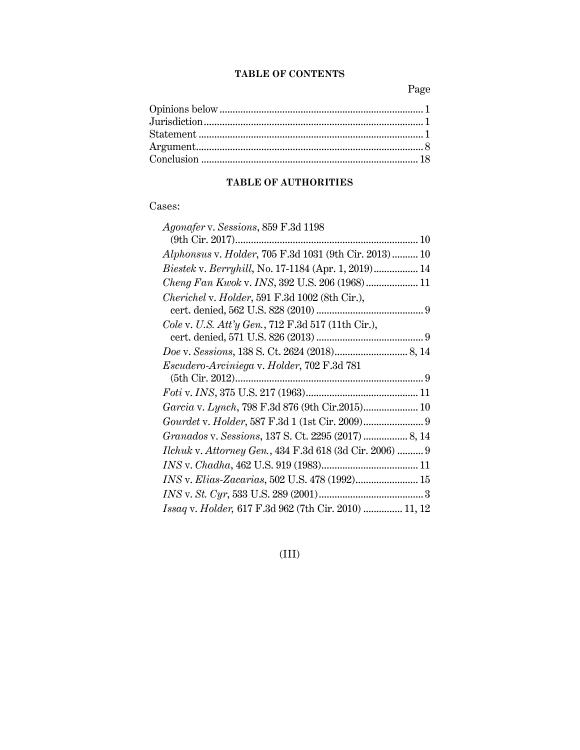# **TABLE OF CONTENTS**

Page

# **TABLE OF AUTHORITIES**

# Cases:

| <i>Agonafer</i> v. Sessions, 859 F.3d 1198              |
|---------------------------------------------------------|
|                                                         |
| Alphonsus v. Holder, 705 F.3d 1031 (9th Cir. 2013) 10   |
| Biestek v. Berryhill, No. 17-1184 (Apr. 1, 2019) 14     |
| Cheng Fan Kwok v. INS, 392 U.S. 206 (1968) 11           |
| Cherichel v. Holder, 591 F.3d 1002 (8th Cir.),          |
|                                                         |
| Cole v. U.S. Att'y Gen., 712 F.3d 517 (11th Cir.),      |
|                                                         |
|                                                         |
| Escudero-Arciniega v. Holder, 702 F.3d 781              |
|                                                         |
|                                                         |
|                                                         |
| Garcia v. Lynch, 798 F.3d 876 (9th Cir.2015) 10         |
|                                                         |
| Granados v. Sessions, 137 S. Ct. 2295 (2017)  8, 14     |
| Ilchuk v. Attorney Gen., 434 F.3d 618 (3d Cir. 2006)  9 |
|                                                         |
| INS v. Elias-Zacarias, 502 U.S. 478 (1992) 15           |
|                                                         |

(III)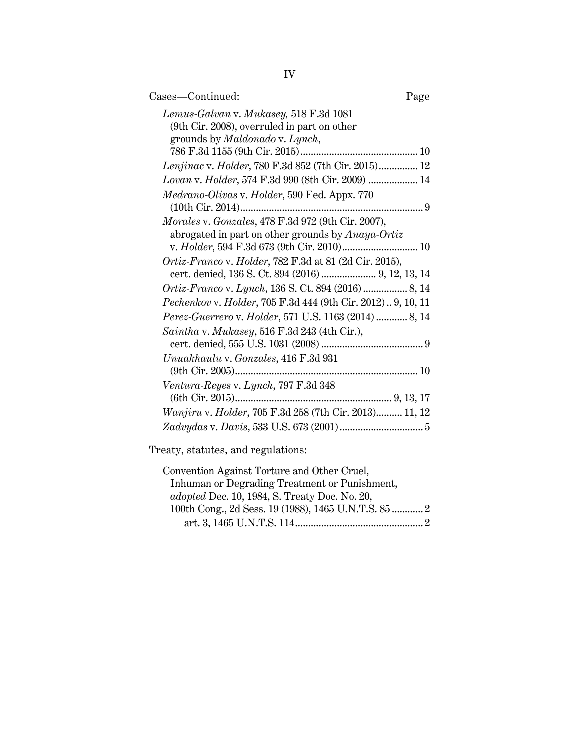| Cases-Continued:                                            | Page |
|-------------------------------------------------------------|------|
| Lemus-Galvan v. Mukasey, 518 F.3d 1081                      |      |
| (9th Cir. 2008), overruled in part on other                 |      |
| grounds by <i>Maldonado v. Lynch</i> ,                      |      |
| Lenjinac v. Holder, 780 F.3d 852 (7th Cir. 2015) 12         |      |
| Lovan v. Holder, 574 F.3d 990 (8th Cir. 2009)  14           |      |
| Medrano-Olivas v. Holder, 590 Fed. Appx. 770                |      |
|                                                             |      |
| Morales v. Gonzales, 478 F.3d 972 (9th Cir. 2007),          |      |
| abrogated in part on other grounds by Anaya-Ortiz           |      |
| v. Holder, 594 F.3d 673 (9th Cir. 2010) 10                  |      |
| Ortiz-Franco v. Holder, 782 F.3d at 81 (2d Cir. 2015),      |      |
| cert. denied, 136 S. Ct. 894 (2016)  9, 12, 13, 14          |      |
| Ortiz-Franco v. Lynch, 136 S. Ct. 894 (2016)  8, 14         |      |
| Pechenkov v. Holder, 705 F.3d 444 (9th Cir. 2012) 9, 10, 11 |      |
| Perez-Guerrero v. Holder, 571 U.S. 1163 (2014)  8, 14       |      |
| Saintha v. Mukasey, 516 F.3d 243 (4th Cir.),                |      |
|                                                             |      |
| Unuakhaulu v. Gonzales, 416 F.3d 931                        |      |
|                                                             |      |
| Ventura-Reyes v. Lynch, 797 F.3d 348                        |      |
|                                                             |      |
| Wanjiru v. Holder, 705 F.3d 258 (7th Cir. 2013) 11, 12      |      |
|                                                             |      |

Treaty, statutes, and regulations:

| Convention Against Torture and Other Cruel,          |  |
|------------------------------------------------------|--|
| Inhuman or Degrading Treatment or Punishment,        |  |
| <i>adopted</i> Dec. 10, 1984, S. Treaty Doc. No. 20, |  |
| 100th Cong., 2d Sess. 19 (1988), 1465 U.N.T.S. 85 2  |  |
|                                                      |  |
|                                                      |  |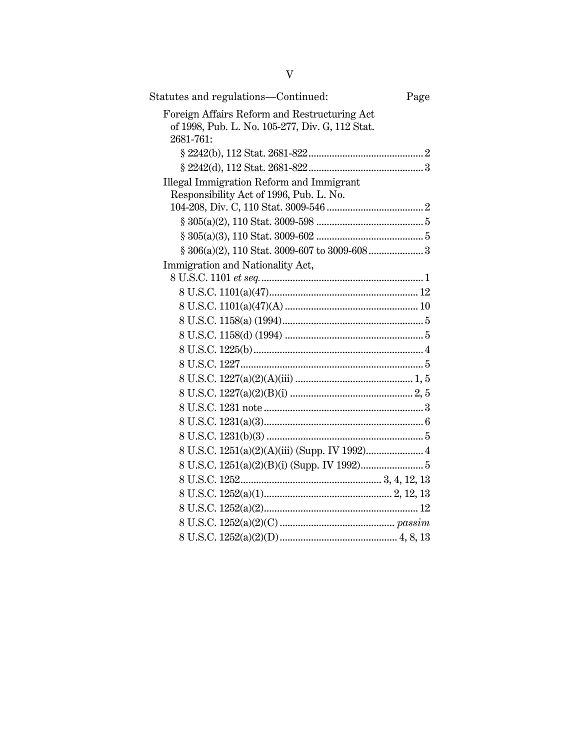| Statutes and regulations—Continued:                                                                          | Page |
|--------------------------------------------------------------------------------------------------------------|------|
| Foreign Affairs Reform and Restructuring Act<br>of 1998, Pub. L. No. 105-277, Div. G, 112 Stat.<br>2681-761: |      |
|                                                                                                              |      |
|                                                                                                              |      |
| Illegal Immigration Reform and Immigrant<br>Responsibility Act of 1996, Pub. L. No.                          |      |
|                                                                                                              |      |
|                                                                                                              |      |
|                                                                                                              |      |
|                                                                                                              |      |
| Immigration and Nationality Act,                                                                             |      |
|                                                                                                              |      |
|                                                                                                              |      |
|                                                                                                              |      |
|                                                                                                              |      |
|                                                                                                              |      |
|                                                                                                              |      |
|                                                                                                              |      |
|                                                                                                              |      |
|                                                                                                              |      |
|                                                                                                              |      |
|                                                                                                              |      |
|                                                                                                              |      |
| 8 U.S.C. 1251(a)(2)(A)(iii) (Supp. IV 1992) 4                                                                |      |
|                                                                                                              |      |
|                                                                                                              |      |
|                                                                                                              |      |
|                                                                                                              |      |
|                                                                                                              |      |
|                                                                                                              |      |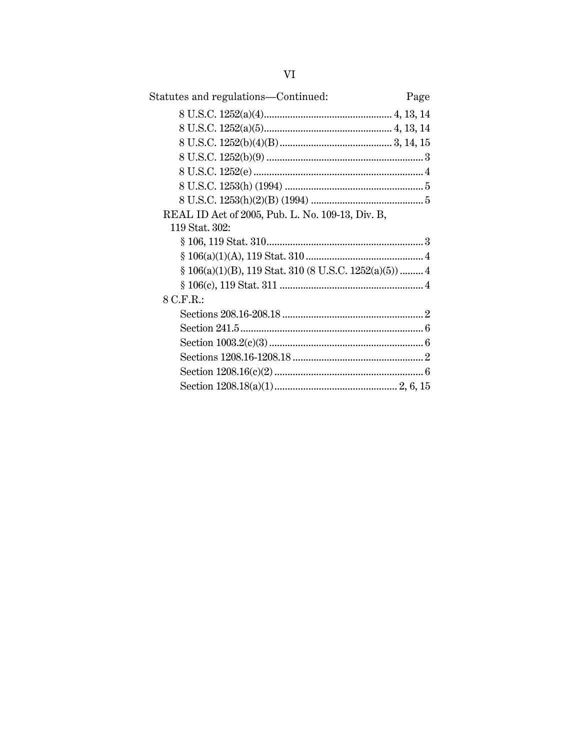| Statutes and regulations—Continued:<br>Page              |  |
|----------------------------------------------------------|--|
|                                                          |  |
|                                                          |  |
|                                                          |  |
|                                                          |  |
|                                                          |  |
|                                                          |  |
|                                                          |  |
| REAL ID Act of 2005, Pub. L. No. 109-13, Div. B,         |  |
| 119 Stat. 302:                                           |  |
|                                                          |  |
|                                                          |  |
| $§ 106(a)(1)(B), 119 Stat. 310 (8 U.S.C. 1252(a)(5))  4$ |  |
|                                                          |  |
| 8 C.F.R.:                                                |  |
|                                                          |  |
|                                                          |  |
|                                                          |  |
|                                                          |  |
|                                                          |  |
|                                                          |  |
|                                                          |  |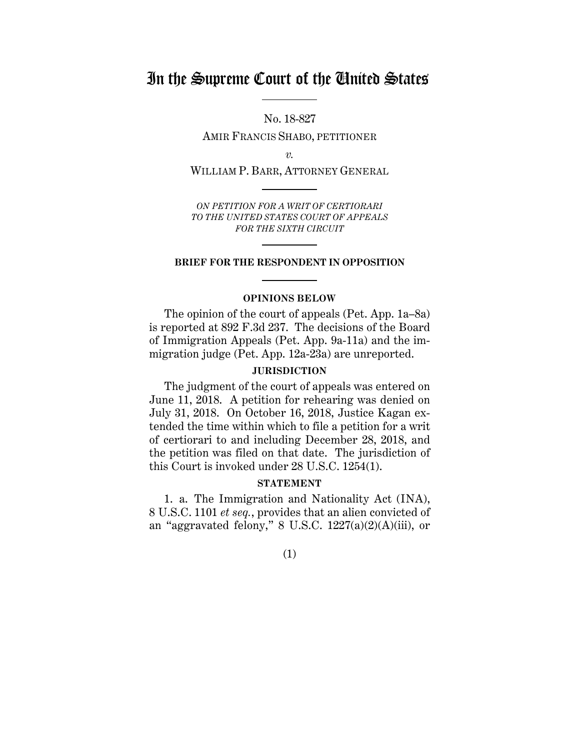# In the Supreme Court of the United States

No. 18-827 AMIR FRANCIS SHABO, PETITIONER

*v.*

WILLIAM P. BARR, ATTORNEY GENERAL

*ON PETITION FOR A WRIT OF CERTIORARI TO THE UNITED STATES COURT OF APPEALS FOR THE SIXTH CIRCUIT*

#### **BRIEF FOR THE RESPONDENT IN OPPOSITION**

#### **OPINIONS BELOW**

The opinion of the court of appeals (Pet. App. 1a–8a) is reported at 892 F.3d 237. The decisions of the Board of Immigration Appeals (Pet. App. 9a-11a) and the immigration judge (Pet. App. 12a-23a) are unreported.

### **JURISDICTION**

The judgment of the court of appeals was entered on June 11, 2018. A petition for rehearing was denied on July 31, 2018. On October 16, 2018, Justice Kagan extended the time within which to file a petition for a writ of certiorari to and including December 28, 2018, and the petition was filed on that date. The jurisdiction of this Court is invoked under 28 U.S.C. 1254(1).

## **STATEMENT**

1. a. The Immigration and Nationality Act (INA), 8 U.S.C. 1101 *et seq.*, provides that an alien convicted of an "aggravated felony,"  $8$  U.S.C. 1227(a)(2)(A)(iii), or

(1)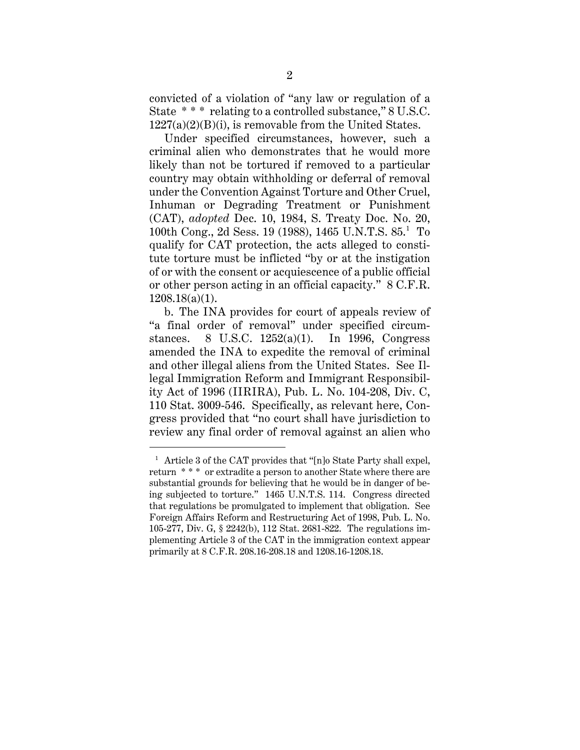convicted of a violation of "any law or regulation of a State \* \* \* relating to a controlled substance," 8 U.S.C.  $1227(a)(2)(B)(i)$ , is removable from the United States.

Under specified circumstances, however, such a criminal alien who demonstrates that he would more likely than not be tortured if removed to a particular country may obtain withholding or deferral of removal under the Convention Against Torture and Other Cruel, Inhuman or Degrading Treatment or Punishment (CAT), *adopted* Dec. 10, 1984, S. Treaty Doc. No. 20, 100th Cong., 2d Sess. 19 (1988), 1465 U.N.T.S. 85.1 To qualify for CAT protection, the acts alleged to constitute torture must be inflicted "by or at the instigation of or with the consent or acquiescence of a public official or other person acting in an official capacity." 8 C.F.R. 1208.18(a)(1).

b. The INA provides for court of appeals review of "a final order of removal" under specified circumstances. 8 U.S.C. 1252(a)(1). In 1996, Congress amended the INA to expedite the removal of criminal and other illegal aliens from the United States. See Illegal Immigration Reform and Immigrant Responsibility Act of 1996 (IIRIRA), Pub. L. No. 104-208, Div. C, 110 Stat. 3009-546. Specifically, as relevant here, Congress provided that "no court shall have jurisdiction to review any final order of removal against an alien who

 $\overline{a}$ 

<sup>&</sup>lt;sup>1</sup> Article 3 of the CAT provides that "[n]o State Party shall expel, return \* \* \* or extradite a person to another State where there are substantial grounds for believing that he would be in danger of being subjected to torture." 1465 U.N.T.S. 114. Congress directed that regulations be promulgated to implement that obligation. See Foreign Affairs Reform and Restructuring Act of 1998, Pub. L. No. 105-277, Div. G, § 2242(b), 112 Stat. 2681-822. The regulations implementing Article 3 of the CAT in the immigration context appear primarily at 8 C.F.R. 208.16-208.18 and 1208.16-1208.18.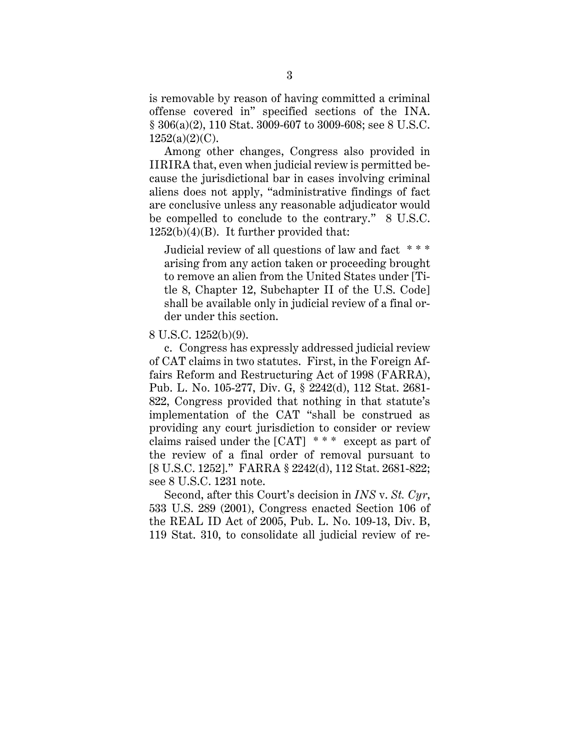is removable by reason of having committed a criminal offense covered in" specified sections of the INA. § 306(a)(2), 110 Stat. 3009-607 to 3009-608; see 8 U.S.C.  $1252(a)(2)(C)$ .

Among other changes, Congress also provided in IIRIRA that, even when judicial review is permitted because the jurisdictional bar in cases involving criminal aliens does not apply, "administrative findings of fact are conclusive unless any reasonable adjudicator would be compelled to conclude to the contrary." 8 U.S.C.  $1252(b)(4)(B)$ . It further provided that:

Judicial review of all questions of law and fact \* \* \* arising from any action taken or proceeding brought to remove an alien from the United States under [Title 8, Chapter 12, Subchapter II of the U.S. Code] shall be available only in judicial review of a final order under this section.

## 8 U.S.C. 1252(b)(9).

c. Congress has expressly addressed judicial review of CAT claims in two statutes. First, in the Foreign Affairs Reform and Restructuring Act of 1998 (FARRA), Pub. L. No. 105-277, Div. G, § 2242(d), 112 Stat. 2681- 822, Congress provided that nothing in that statute's implementation of the CAT "shall be construed as providing any court jurisdiction to consider or review claims raised under the [CAT] \* \* \* except as part of the review of a final order of removal pursuant to [8 U.S.C. 1252]." FARRA § 2242(d), 112 Stat. 2681-822; see 8 U.S.C. 1231 note.

Second, after this Court's decision in *INS* v. *St. Cyr*, 533 U.S. 289 (2001), Congress enacted Section 106 of the REAL ID Act of 2005, Pub. L. No. 109-13, Div. B, 119 Stat. 310, to consolidate all judicial review of re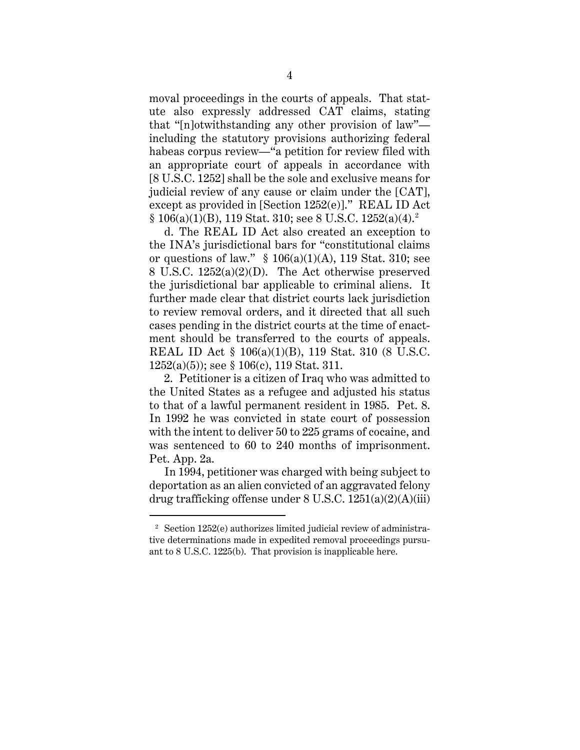moval proceedings in the courts of appeals. That statute also expressly addressed CAT claims, stating that "[n]otwithstanding any other provision of law" including the statutory provisions authorizing federal habeas corpus review—"a petition for review filed with an appropriate court of appeals in accordance with [8 U.S.C. 1252] shall be the sole and exclusive means for judicial review of any cause or claim under the [CAT], except as provided in [Section 1252(e)]." REAL ID Act  $§ 106(a)(1)(B), 119 Stat. 310; see 8 U.S.C. 1252(a)(4).<sup>2</sup>$ 

d. The REAL ID Act also created an exception to the INA's jurisdictional bars for "constitutional claims or questions of law."  $§ 106(a)(1)(A)$ , 119 Stat. 310; see 8 U.S.C. 1252(a)(2)(D). The Act otherwise preserved the jurisdictional bar applicable to criminal aliens. It further made clear that district courts lack jurisdiction to review removal orders, and it directed that all such cases pending in the district courts at the time of enactment should be transferred to the courts of appeals. REAL ID Act § 106(a)(1)(B), 119 Stat. 310 (8 U.S.C. 1252(a)(5)); see § 106(c), 119 Stat. 311.

2. Petitioner is a citizen of Iraq who was admitted to the United States as a refugee and adjusted his status to that of a lawful permanent resident in 1985. Pet. 8. In 1992 he was convicted in state court of possession with the intent to deliver 50 to 225 grams of cocaine, and was sentenced to 60 to 240 months of imprisonment. Pet. App. 2a.

In 1994, petitioner was charged with being subject to deportation as an alien convicted of an aggravated felony drug trafficking offense under 8 U.S.C.  $1251(a)(2)(A)(iii)$ 

 $\overline{a}$ 

<sup>2</sup> Section 1252(e) authorizes limited judicial review of administrative determinations made in expedited removal proceedings pursuant to 8 U.S.C. 1225(b). That provision is inapplicable here.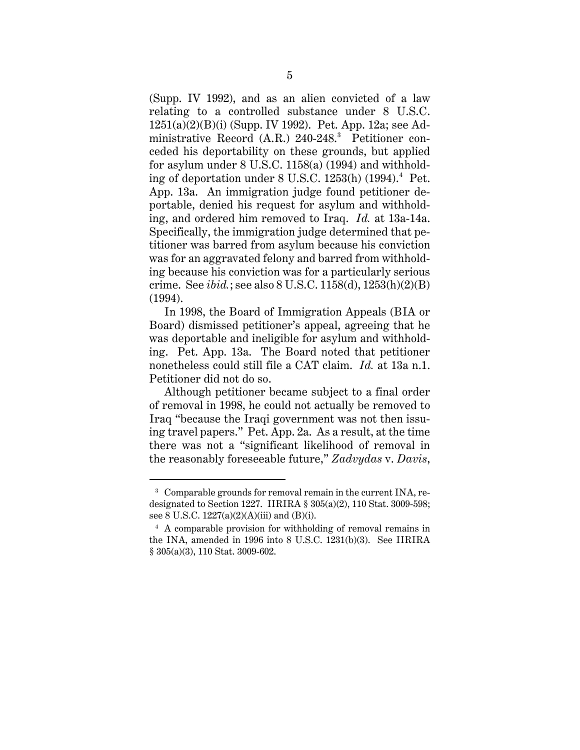(Supp. IV 1992), and as an alien convicted of a law relating to a controlled substance under 8 U.S.C. 1251(a)(2)(B)(i) (Supp. IV 1992). Pet. App. 12a; see Administrative Record (A.R.) 240-248.<sup>3</sup> Petitioner conceded his deportability on these grounds, but applied for asylum under 8 U.S.C. 1158(a) (1994) and withholding of deportation under 8 U.S.C. 1253(h) (1994).4 Pet. App. 13a. An immigration judge found petitioner deportable, denied his request for asylum and withholding, and ordered him removed to Iraq. *Id.* at 13a-14a. Specifically, the immigration judge determined that petitioner was barred from asylum because his conviction was for an aggravated felony and barred from withholding because his conviction was for a particularly serious crime. See *ibid.*; see also 8 U.S.C. 1158(d), 1253(h)(2)(B) (1994).

In 1998, the Board of Immigration Appeals (BIA or Board) dismissed petitioner's appeal, agreeing that he was deportable and ineligible for asylum and withholding. Pet. App. 13a. The Board noted that petitioner nonetheless could still file a CAT claim. *Id.* at 13a n.1. Petitioner did not do so.

Although petitioner became subject to a final order of removal in 1998, he could not actually be removed to Iraq "because the Iraqi government was not then issuing travel papers." Pet. App. 2a. As a result, at the time there was not a "significant likelihood of removal in the reasonably foreseeable future," *Zadvydas* v. *Davis*,

 $\ddot{\phantom{a}}$ 

<sup>3</sup> Comparable grounds for removal remain in the current INA, redesignated to Section 1227. IIRIRA § 305(a)(2), 110 Stat. 3009-598; see 8 U.S.C. 1227(a)(2)(A)(iii) and (B)(i).

<sup>4</sup> A comparable provision for withholding of removal remains in the INA, amended in 1996 into 8 U.S.C. 1231(b)(3). See IIRIRA § 305(a)(3), 110 Stat. 3009-602.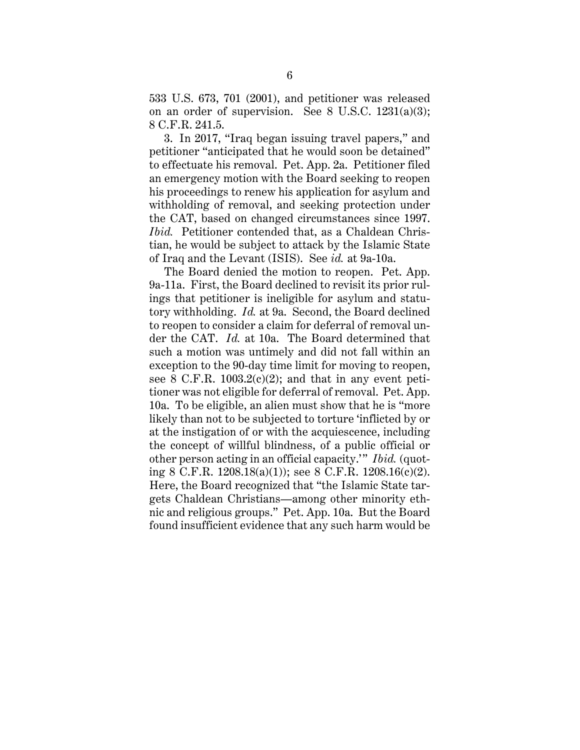533 U.S. 673, 701 (2001), and petitioner was released on an order of supervision. See 8 U.S.C. 1231(a)(3); 8 C.F.R. 241.5.

3. In 2017, "Iraq began issuing travel papers," and petitioner "anticipated that he would soon be detained" to effectuate his removal. Pet. App. 2a. Petitioner filed an emergency motion with the Board seeking to reopen his proceedings to renew his application for asylum and withholding of removal, and seeking protection under the CAT, based on changed circumstances since 1997. *Ibid.* Petitioner contended that, as a Chaldean Christian, he would be subject to attack by the Islamic State of Iraq and the Levant (ISIS). See *id.* at 9a-10a.

The Board denied the motion to reopen. Pet. App. 9a-11a. First, the Board declined to revisit its prior rulings that petitioner is ineligible for asylum and statutory withholding. *Id.* at 9a. Second, the Board declined to reopen to consider a claim for deferral of removal under the CAT. *Id.* at 10a. The Board determined that such a motion was untimely and did not fall within an exception to the 90-day time limit for moving to reopen, see 8 C.F.R.  $1003.2(c)(2)$ ; and that in any event petitioner was not eligible for deferral of removal. Pet. App. 10a. To be eligible, an alien must show that he is "more likely than not to be subjected to torture 'inflicted by or at the instigation of or with the acquiescence, including the concept of willful blindness, of a public official or other person acting in an official capacity.'" *Ibid.* (quoting 8 C.F.R. 1208.18(a)(1)); see 8 C.F.R. 1208.16(c)(2). Here, the Board recognized that "the Islamic State targets Chaldean Christians—among other minority ethnic and religious groups." Pet. App. 10a. But the Board found insufficient evidence that any such harm would be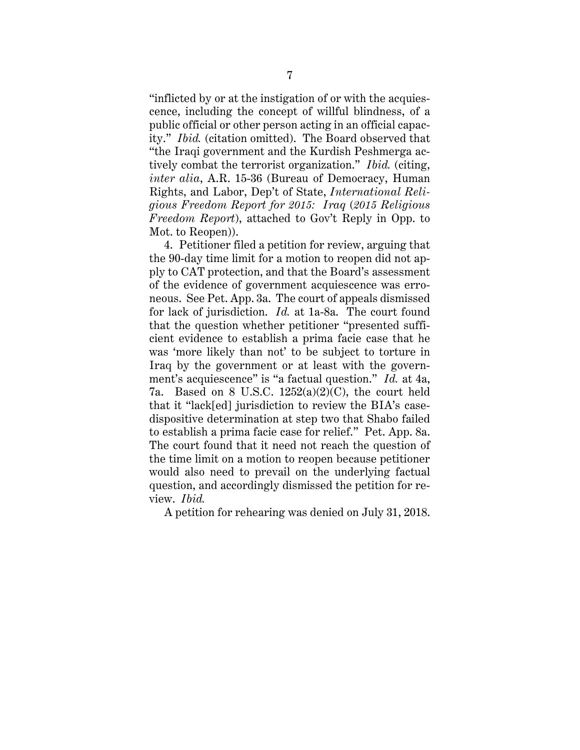"inflicted by or at the instigation of or with the acquiescence, including the concept of willful blindness, of a public official or other person acting in an official capacity." *Ibid.* (citation omitted). The Board observed that "the Iraqi government and the Kurdish Peshmerga actively combat the terrorist organization." *Ibid.* (citing, *inter alia*, A.R. 15-36 (Bureau of Democracy, Human Rights, and Labor, Dep't of State, *International Religious Freedom Report for 2015: Iraq* (*2015 Religious Freedom Report*), attached to Gov't Reply in Opp. to Mot. to Reopen)).

4. Petitioner filed a petition for review, arguing that the 90-day time limit for a motion to reopen did not apply to CAT protection, and that the Board's assessment of the evidence of government acquiescence was erroneous. See Pet. App. 3a. The court of appeals dismissed for lack of jurisdiction. *Id.* at 1a-8a. The court found that the question whether petitioner "presented sufficient evidence to establish a prima facie case that he was 'more likely than not' to be subject to torture in Iraq by the government or at least with the government's acquiescence" is "a factual question." *Id.* at 4a, 7a. Based on 8 U.S.C. 1252(a)(2)(C), the court held that it "lack[ed] jurisdiction to review the BIA's casedispositive determination at step two that Shabo failed to establish a prima facie case for relief." Pet. App. 8a. The court found that it need not reach the question of the time limit on a motion to reopen because petitioner would also need to prevail on the underlying factual question, and accordingly dismissed the petition for review. *Ibid.*

A petition for rehearing was denied on July 31, 2018.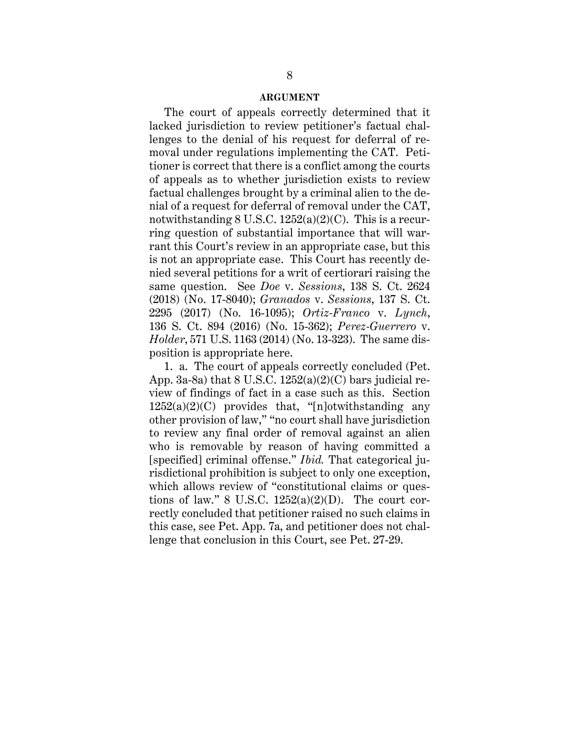#### **ARGUMENT**

The court of appeals correctly determined that it lacked jurisdiction to review petitioner's factual challenges to the denial of his request for deferral of removal under regulations implementing the CAT. Petitioner is correct that there is a conflict among the courts of appeals as to whether jurisdiction exists to review factual challenges brought by a criminal alien to the denial of a request for deferral of removal under the CAT, notwithstanding  $8 \text{ U.S.C. } 1252(a)(2)(\text{C})$ . This is a recurring question of substantial importance that will warrant this Court's review in an appropriate case, but this is not an appropriate case. This Court has recently denied several petitions for a writ of certiorari raising the same question. See *Doe* v. *Sessions*, 138 S. Ct. 2624 (2018) (No. 17-8040); *Granados* v. *Sessions*, 137 S. Ct. 2295 (2017) (No. 16-1095); *Ortiz-Franco* v. *Lynch*, 136 S. Ct. 894 (2016) (No. 15-362); *Perez-Guerrero* v. *Holder*, 571 U.S. 1163 (2014) (No. 13-323). The same disposition is appropriate here.

1. a. The court of appeals correctly concluded (Pet. App. 3a-8a) that  $8 \text{ U.S.C. } 1252(a)(2)(C)$  bars judicial review of findings of fact in a case such as this. Section  $1252(a)(2)(C)$  provides that, "[n]otwithstanding any other provision of law," "no court shall have jurisdiction to review any final order of removal against an alien who is removable by reason of having committed a [specified] criminal offense." *Ibid.* That categorical jurisdictional prohibition is subject to only one exception, which allows review of "constitutional claims or questions of law." 8 U.S.C.  $1252(a)(2)(D)$ . The court correctly concluded that petitioner raised no such claims in this case, see Pet. App. 7a, and petitioner does not challenge that conclusion in this Court, see Pet. 27-29.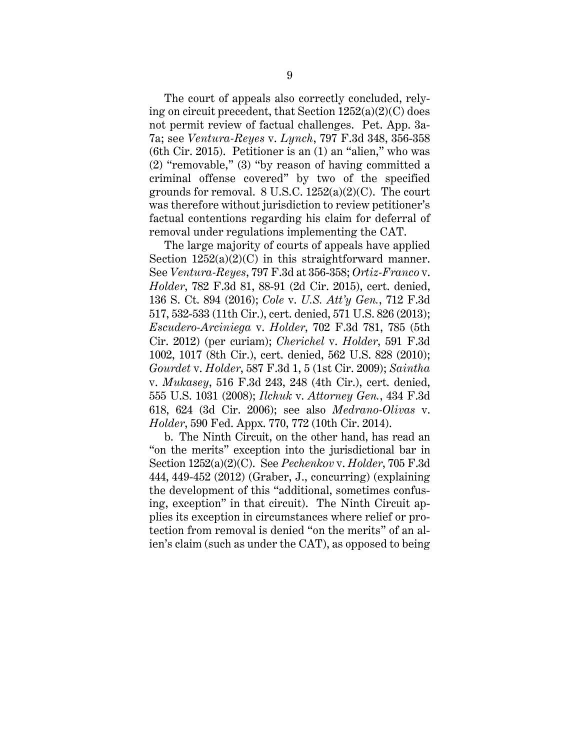The court of appeals also correctly concluded, relying on circuit precedent, that Section  $1252(a)(2)(C)$  does not permit review of factual challenges. Pet. App. 3a-7a; see *Ventura-Reyes* v. *Lynch*, 797 F.3d 348, 356-358 (6th Cir. 2015). Petitioner is an (1) an "alien," who was (2) "removable," (3) "by reason of having committed a criminal offense covered" by two of the specified grounds for removal.  $8 \text{ U.S.C. } 1252(a)(2)(C)$ . The court was therefore without jurisdiction to review petitioner's factual contentions regarding his claim for deferral of removal under regulations implementing the CAT.

The large majority of courts of appeals have applied Section  $1252(a)(2)(C)$  in this straightforward manner. See *Ventura-Reyes*, 797 F.3d at 356-358; *Ortiz-Franco* v. *Holder*, 782 F.3d 81, 88-91 (2d Cir. 2015), cert. denied, 136 S. Ct. 894 (2016); *Cole* v. *U.S. Att'y Gen.*, 712 F.3d 517, 532-533 (11th Cir.), cert. denied, 571 U.S. 826 (2013); *Escudero-Arciniega* v. *Holder*, 702 F.3d 781, 785 (5th Cir. 2012) (per curiam); *Cherichel* v. *Holder*, 591 F.3d 1002, 1017 (8th Cir.), cert. denied, 562 U.S. 828 (2010); *Gourdet* v. *Holder*, 587 F.3d 1, 5 (1st Cir. 2009); *Saintha* v. *Mukasey*, 516 F.3d 243, 248 (4th Cir.), cert. denied, 555 U.S. 1031 (2008); *Ilchuk* v. *Attorney Gen.*, 434 F.3d 618, 624 (3d Cir. 2006); see also *Medrano-Olivas* v. *Holder*, 590 Fed. Appx. 770, 772 (10th Cir. 2014).

b. The Ninth Circuit, on the other hand, has read an "on the merits" exception into the jurisdictional bar in Section 1252(a)(2)(C). See *Pechenkov* v. *Holder*, 705 F.3d 444, 449-452 (2012) (Graber, J., concurring) (explaining the development of this "additional, sometimes confusing, exception" in that circuit). The Ninth Circuit applies its exception in circumstances where relief or protection from removal is denied "on the merits" of an alien's claim (such as under the CAT), as opposed to being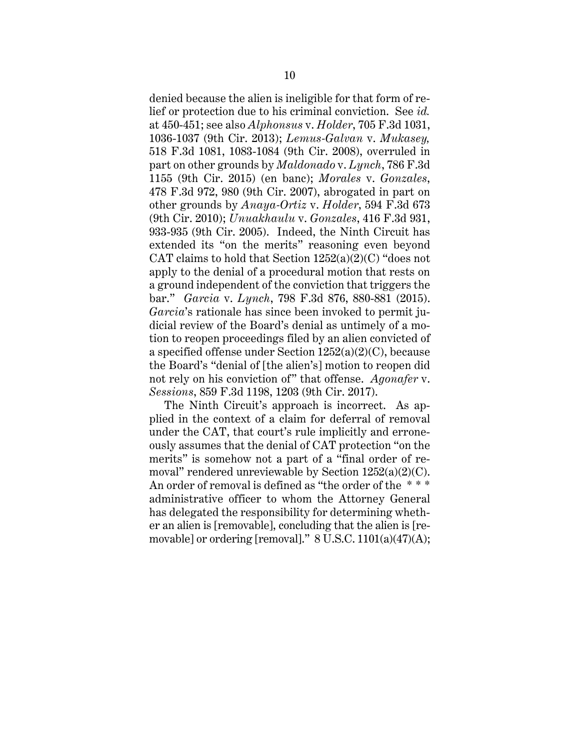denied because the alien is ineligible for that form of relief or protection due to his criminal conviction. See *id.* at 450-451; see also *Alphonsus* v. *Holder*, 705 F.3d 1031, 1036-1037 (9th Cir. 2013); *Lemus-Galvan* v. *Mukasey,* 518 F.3d 1081, 1083-1084 (9th Cir. 2008), overruled in part on other grounds by *Maldonado* v. *Lynch*, 786 F.3d 1155 (9th Cir. 2015) (en banc); *Morales* v. *Gonzales*, 478 F.3d 972, 980 (9th Cir. 2007), abrogated in part on other grounds by *Anaya-Ortiz* v. *Holder*, 594 F.3d 673 (9th Cir. 2010); *Unuakhaulu* v. *Gonzales*, 416 F.3d 931, 933-935 (9th Cir. 2005). Indeed, the Ninth Circuit has extended its "on the merits" reasoning even beyond CAT claims to hold that Section  $1252(a)(2)(C)$  "does not apply to the denial of a procedural motion that rests on a ground independent of the conviction that triggers the bar." *Garcia* v. *Lynch*, 798 F.3d 876, 880-881 (2015). *Garcia*'s rationale has since been invoked to permit judicial review of the Board's denial as untimely of a motion to reopen proceedings filed by an alien convicted of a specified offense under Section 1252(a)(2)(C), because the Board's "denial of [the alien's] motion to reopen did not rely on his conviction of" that offense. *Agonafer* v. *Sessions*, 859 F.3d 1198, 1203 (9th Cir. 2017).

The Ninth Circuit's approach is incorrect. As applied in the context of a claim for deferral of removal under the CAT, that court's rule implicitly and erroneously assumes that the denial of CAT protection "on the merits" is somehow not a part of a "final order of removal" rendered unreviewable by Section 1252(a)(2)(C). An order of removal is defined as "the order of the \*\*\* administrative officer to whom the Attorney General has delegated the responsibility for determining whether an alien is [removable], concluding that the alien is [removable] or ordering [removal]." 8 U.S.C. 1101(a)(47)(A);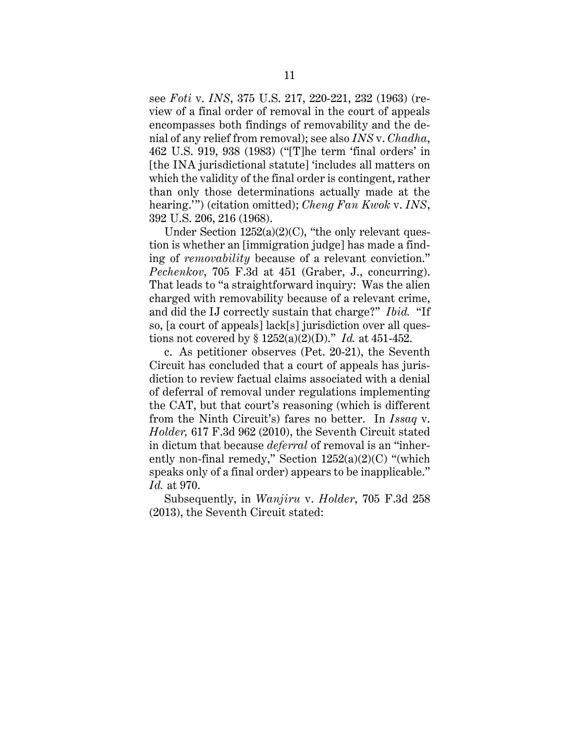see *Foti* v. *INS*, 375 U.S. 217, 220-221, 232 (1963) (review of a final order of removal in the court of appeals encompasses both findings of removability and the denial of any relief from removal); see also *INS* v. *Chadha*, 462 U.S. 919, 938 (1983) ("[T]he term 'final orders' in [the INA jurisdictional statute] 'includes all matters on which the validity of the final order is contingent, rather than only those determinations actually made at the hearing.'") (citation omitted); *Cheng Fan Kwok* v. *INS*, 392 U.S. 206, 216 (1968).

Under Section  $1252(a)(2)(C)$ , "the only relevant question is whether an [immigration judge] has made a finding of *removability* because of a relevant conviction." *Pechenkov*, 705 F.3d at 451 (Graber, J., concurring). That leads to "a straightforward inquiry: Was the alien charged with removability because of a relevant crime, and did the IJ correctly sustain that charge?" *Ibid.* "If so, [a court of appeals] lack[s] jurisdiction over all questions not covered by § 1252(a)(2)(D)." *Id.* at 451-452.

c. As petitioner observes (Pet. 20-21), the Seventh Circuit has concluded that a court of appeals has jurisdiction to review factual claims associated with a denial of deferral of removal under regulations implementing the CAT, but that court's reasoning (which is different from the Ninth Circuit's) fares no better. In *Issaq* v. *Holder,* 617 F.3d 962 (2010), the Seventh Circuit stated in dictum that because *deferral* of removal is an "inherently non-final remedy," Section  $1252(a)(2)(C)$  "(which speaks only of a final order) appears to be inapplicable." *Id.* at 970.

Subsequently, in *Wanjiru* v. *Holder*, 705 F.3d 258 (2013), the Seventh Circuit stated: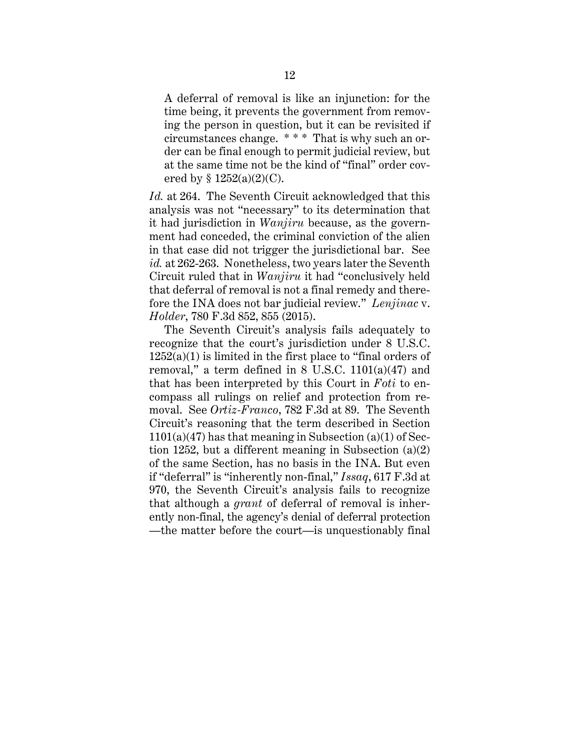A deferral of removal is like an injunction: for the time being, it prevents the government from removing the person in question, but it can be revisited if circumstances change. \* \* \* That is why such an order can be final enough to permit judicial review, but at the same time not be the kind of "final" order covered by  $§ 1252(a)(2)(C)$ .

*Id.* at 264. The Seventh Circuit acknowledged that this analysis was not "necessary" to its determination that it had jurisdiction in *Wanjiru* because, as the government had conceded, the criminal conviction of the alien in that case did not trigger the jurisdictional bar. See *id.* at 262-263. Nonetheless, two years later the Seventh Circuit ruled that in *Wanjiru* it had "conclusively held that deferral of removal is not a final remedy and therefore the INA does not bar judicial review." *Lenjinac* v. *Holder*, 780 F.3d 852, 855 (2015).

The Seventh Circuit's analysis fails adequately to recognize that the court's jurisdiction under 8 U.S.C.  $1252(a)(1)$  is limited in the first place to "final orders of removal," a term defined in  $8$  U.S.C. 1101(a)(47) and that has been interpreted by this Court in *Foti* to encompass all rulings on relief and protection from removal. See *Ortiz-Franco*, 782 F.3d at 89. The Seventh Circuit's reasoning that the term described in Section  $1101(a)(47)$  has that meaning in Subsection  $(a)(1)$  of Section 1252, but a different meaning in Subsection (a)(2) of the same Section, has no basis in the INA. But even if "deferral" is "inherently non-final," *Issaq*, 617 F.3d at 970, the Seventh Circuit's analysis fails to recognize that although a *grant* of deferral of removal is inherently non-final, the agency's denial of deferral protection —the matter before the court—is unquestionably final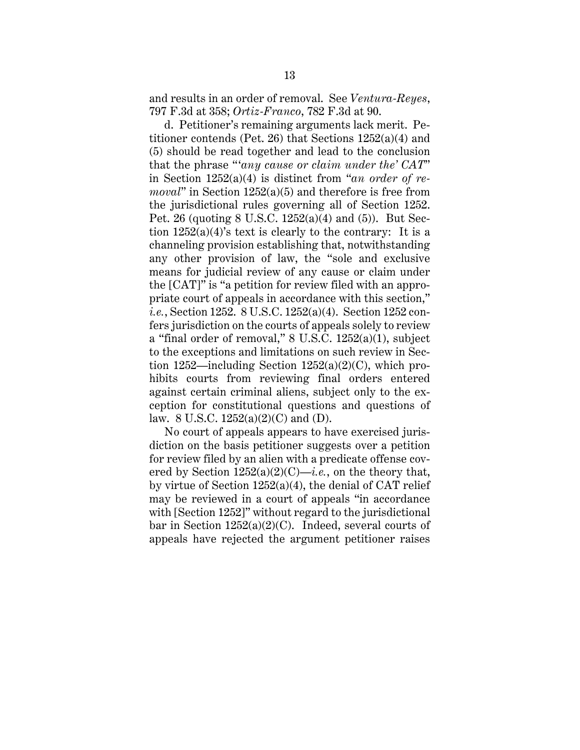and results in an order of removal. See *Ventura-Reyes*, 797 F.3d at 358; *Ortiz-Franco*, 782 F.3d at 90.

d. Petitioner's remaining arguments lack merit. Petitioner contends (Pet. 26) that Sections 1252(a)(4) and (5) should be read together and lead to the conclusion that the phrase "'*any cause or claim under the' CAT*" in Section 1252(a)(4) is distinct from "*an order of removal*" in Section 1252(a)(5) and therefore is free from the jurisdictional rules governing all of Section 1252. Pet. 26 (quoting 8 U.S.C. 1252(a)(4) and (5)). But Section  $1252(a)(4)$ 's text is clearly to the contrary: It is a channeling provision establishing that, notwithstanding any other provision of law, the "sole and exclusive means for judicial review of any cause or claim under the [CAT]" is "a petition for review filed with an appropriate court of appeals in accordance with this section," *i.e.*, Section 1252. 8 U.S.C. 1252(a)(4). Section 1252 confers jurisdiction on the courts of appeals solely to review a "final order of removal," 8 U.S.C. 1252(a)(1), subject to the exceptions and limitations on such review in Section 1252—including Section  $1252(a)(2)(C)$ , which prohibits courts from reviewing final orders entered against certain criminal aliens, subject only to the exception for constitutional questions and questions of law. 8 U.S.C. 1252(a)(2)(C) and (D).

No court of appeals appears to have exercised jurisdiction on the basis petitioner suggests over a petition for review filed by an alien with a predicate offense covered by Section  $1252(a)(2)(C)$ —*i.e.*, on the theory that, by virtue of Section  $1252(a)(4)$ , the denial of CAT relief may be reviewed in a court of appeals "in accordance with [Section 1252]" without regard to the jurisdictional bar in Section  $1252(a)(2)(C)$ . Indeed, several courts of appeals have rejected the argument petitioner raises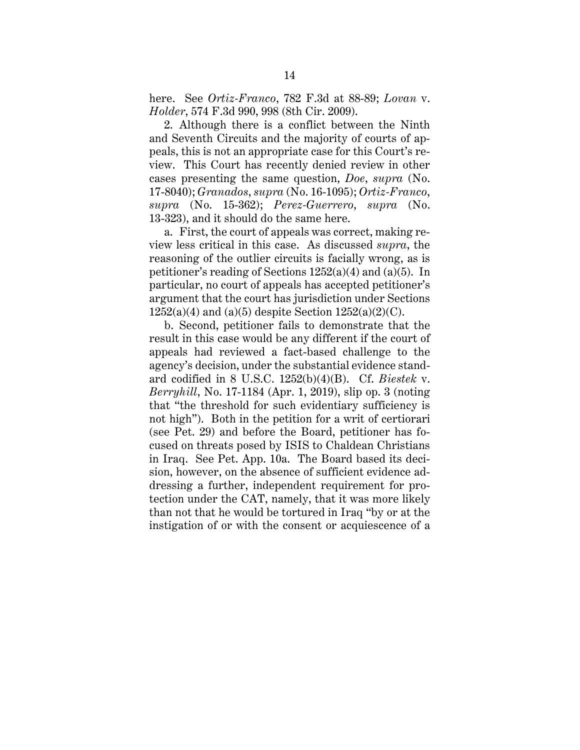here. See *Ortiz-Franco*, 782 F.3d at 88-89; *Lovan* v. *Holder*, 574 F.3d 990, 998 (8th Cir. 2009).

2. Although there is a conflict between the Ninth and Seventh Circuits and the majority of courts of appeals, this is not an appropriate case for this Court's review. This Court has recently denied review in other cases presenting the same question, *Doe*, *supra* (No. 17-8040); *Granados*, *supra* (No. 16-1095); *Ortiz-Franco*, *supra* (No. 15-362); *Perez-Guerrero*, *supra* (No. 13-323), and it should do the same here.

a. First, the court of appeals was correct, making review less critical in this case. As discussed *supra*, the reasoning of the outlier circuits is facially wrong, as is petitioner's reading of Sections 1252(a)(4) and (a)(5). In particular, no court of appeals has accepted petitioner's argument that the court has jurisdiction under Sections  $1252(a)(4)$  and  $(a)(5)$  despite Section  $1252(a)(2)(C)$ .

b. Second, petitioner fails to demonstrate that the result in this case would be any different if the court of appeals had reviewed a fact-based challenge to the agency's decision, under the substantial evidence standard codified in 8 U.S.C. 1252(b)(4)(B). Cf. *Biestek* v. *Berryhill*, No. 17-1184 (Apr. 1, 2019), slip op. 3 (noting that "the threshold for such evidentiary sufficiency is not high"). Both in the petition for a writ of certiorari (see Pet. 29) and before the Board, petitioner has focused on threats posed by ISIS to Chaldean Christians in Iraq. See Pet. App. 10a. The Board based its decision, however, on the absence of sufficient evidence addressing a further, independent requirement for protection under the CAT, namely, that it was more likely than not that he would be tortured in Iraq "by or at the instigation of or with the consent or acquiescence of a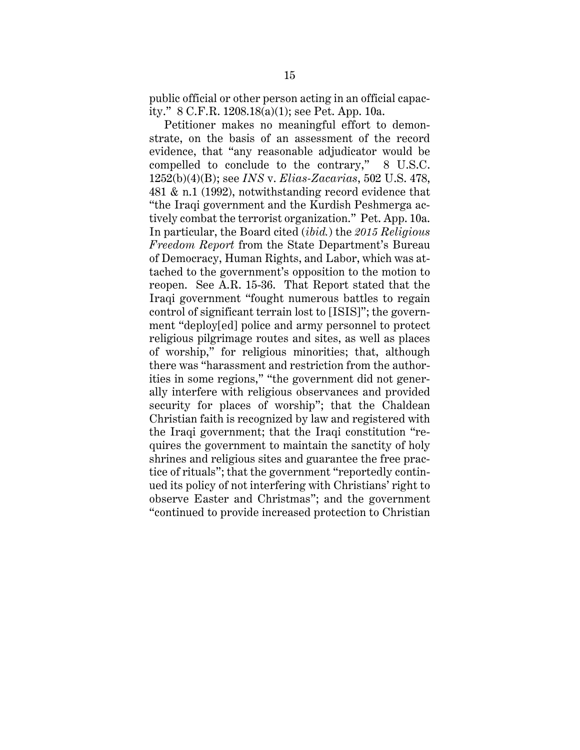public official or other person acting in an official capacity." 8 C.F.R. 1208.18(a)(1); see Pet. App. 10a.

Petitioner makes no meaningful effort to demonstrate, on the basis of an assessment of the record evidence, that "any reasonable adjudicator would be compelled to conclude to the contrary," 8 U.S.C. 1252(b)(4)(B); see *INS* v. *Elias-Zacarias*, 502 U.S. 478, 481 & n.1 (1992), notwithstanding record evidence that "the Iraqi government and the Kurdish Peshmerga actively combat the terrorist organization." Pet. App. 10a. In particular, the Board cited (*ibid.*) the *2015 Religious Freedom Report* from the State Department's Bureau of Democracy, Human Rights, and Labor, which was attached to the government's opposition to the motion to reopen. See A.R. 15-36. That Report stated that the Iraqi government "fought numerous battles to regain control of significant terrain lost to [ISIS]"; the government "deploy[ed] police and army personnel to protect religious pilgrimage routes and sites, as well as places of worship," for religious minorities; that, although there was "harassment and restriction from the authorities in some regions," "the government did not generally interfere with religious observances and provided security for places of worship"; that the Chaldean Christian faith is recognized by law and registered with the Iraqi government; that the Iraqi constitution "requires the government to maintain the sanctity of holy shrines and religious sites and guarantee the free practice of rituals"; that the government "reportedly continued its policy of not interfering with Christians' right to observe Easter and Christmas"; and the government "continued to provide increased protection to Christian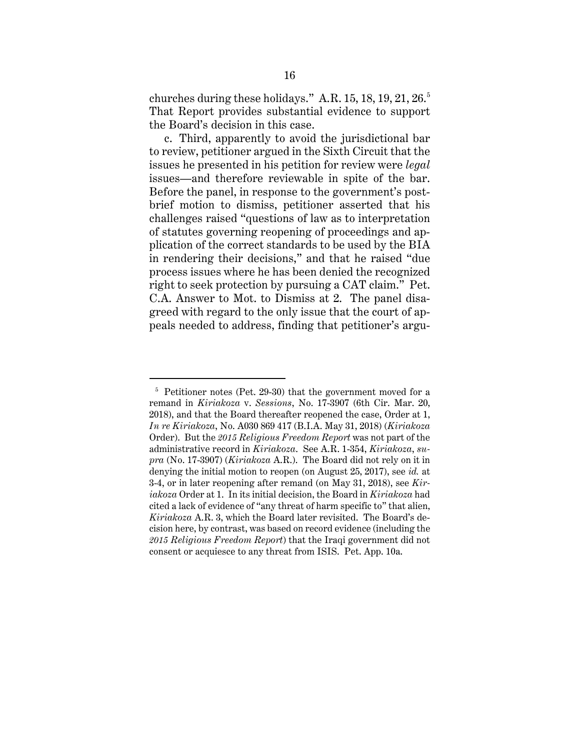churches during these holidays." A.R.  $15, 18, 19, 21, 26.5$ That Report provides substantial evidence to support the Board's decision in this case.

c. Third, apparently to avoid the jurisdictional bar to review, petitioner argued in the Sixth Circuit that the issues he presented in his petition for review were *legal* issues—and therefore reviewable in spite of the bar. Before the panel, in response to the government's postbrief motion to dismiss, petitioner asserted that his challenges raised "questions of law as to interpretation of statutes governing reopening of proceedings and application of the correct standards to be used by the BIA in rendering their decisions," and that he raised "due process issues where he has been denied the recognized right to seek protection by pursuing a CAT claim." Pet. C.A. Answer to Mot. to Dismiss at 2. The panel disagreed with regard to the only issue that the court of appeals needed to address, finding that petitioner's argu-

 $\overline{a}$ 

<sup>5</sup> Petitioner notes (Pet. 29-30) that the government moved for a remand in *Kiriakoza* v. *Sessions*, No. 17-3907 (6th Cir. Mar. 20, 2018), and that the Board thereafter reopened the case, Order at 1, *In re Kiriakoza*, No. A030 869 417 (B.I.A. May 31, 2018) (*Kiriakoza* Order). But the *2015 Religious Freedom Report* was not part of the administrative record in *Kiriakoza*. See A.R. 1-354, *Kiriakoza*, *supra* (No. 17-3907) (*Kiriakoza* A.R.). The Board did not rely on it in denying the initial motion to reopen (on August 25, 2017), see *id.* at 3-4, or in later reopening after remand (on May 31, 2018), see *Kiriakoza* Order at 1. In its initial decision, the Board in *Kiriakoza* had cited a lack of evidence of "any threat of harm specific to" that alien, *Kiriakoza* A.R. 3, which the Board later revisited. The Board's decision here, by contrast, was based on record evidence (including the *2015 Religious Freedom Report*) that the Iraqi government did not consent or acquiesce to any threat from ISIS. Pet. App. 10a.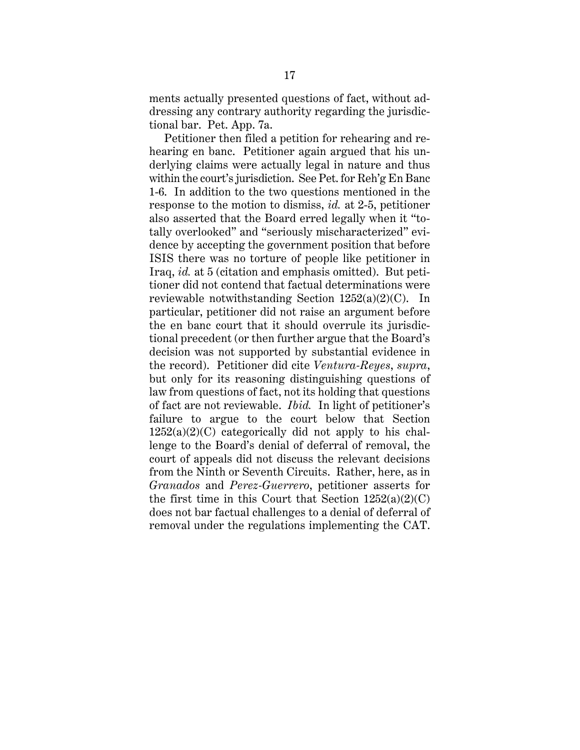ments actually presented questions of fact, without addressing any contrary authority regarding the jurisdictional bar. Pet. App. 7a.

Petitioner then filed a petition for rehearing and rehearing en banc. Petitioner again argued that his underlying claims were actually legal in nature and thus within the court's jurisdiction. See Pet. for Reh'g En Banc 1-6. In addition to the two questions mentioned in the response to the motion to dismiss, *id.* at 2-5, petitioner also asserted that the Board erred legally when it "totally overlooked" and "seriously mischaracterized" evidence by accepting the government position that before ISIS there was no torture of people like petitioner in Iraq, *id.* at 5 (citation and emphasis omitted). But petitioner did not contend that factual determinations were reviewable notwithstanding Section 1252(a)(2)(C). In particular, petitioner did not raise an argument before the en banc court that it should overrule its jurisdictional precedent (or then further argue that the Board's decision was not supported by substantial evidence in the record). Petitioner did cite *Ventura-Reyes*, *supra*, but only for its reasoning distinguishing questions of law from questions of fact, not its holding that questions of fact are not reviewable. *Ibid.* In light of petitioner's failure to argue to the court below that Section  $1252(a)(2)(C)$  categorically did not apply to his challenge to the Board's denial of deferral of removal, the court of appeals did not discuss the relevant decisions from the Ninth or Seventh Circuits. Rather, here, as in *Granados* and *Perez-Guerrero*, petitioner asserts for the first time in this Court that Section  $1252(a)(2)(C)$ does not bar factual challenges to a denial of deferral of removal under the regulations implementing the CAT.